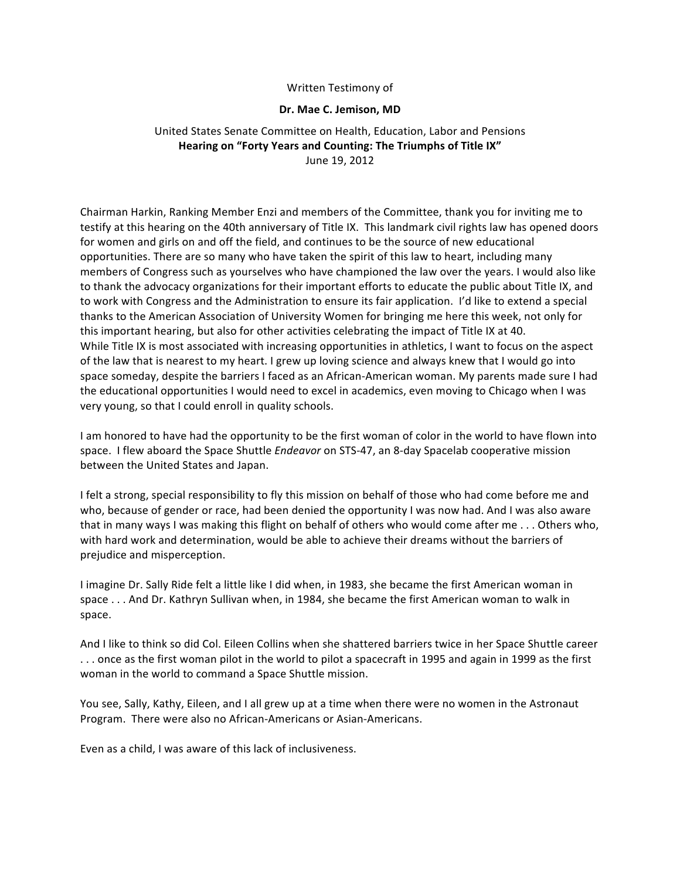#### Written Testimony of

#### **Dr. Mae C. Jemison, MD**

## United States Senate Committee on Health, Education, Labor and Pensions Hearing on "Forty Years and Counting: The Triumphs of Title IX" June 19, 2012

Chairman Harkin, Ranking Member Enzi and members of the Committee, thank you for inviting me to testify at this hearing on the 40th anniversary of Title IX. This landmark civil rights law has opened doors for women and girls on and off the field, and continues to be the source of new educational opportunities. There are so many who have taken the spirit of this law to heart, including many members of Congress such as yourselves who have championed the law over the years. I would also like to thank the advocacy organizations for their important efforts to educate the public about Title IX, and to work with Congress and the Administration to ensure its fair application. I'd like to extend a special thanks to the American Association of University Women for bringing me here this week, not only for this important hearing, but also for other activities celebrating the impact of Title IX at 40. While Title IX is most associated with increasing opportunities in athletics, I want to focus on the aspect of the law that is nearest to my heart. I grew up loving science and always knew that I would go into space someday, despite the barriers I faced as an African-American woman. My parents made sure I had the educational opportunities I would need to excel in academics, even moving to Chicago when I was very young, so that I could enroll in quality schools.

I am honored to have had the opportunity to be the first woman of color in the world to have flown into space. I flew aboard the Space Shuttle *Endeavor* on STS-47, an 8-day Spacelab cooperative mission between the United States and Japan.

I felt a strong, special responsibility to fly this mission on behalf of those who had come before me and who, because of gender or race, had been denied the opportunity I was now had. And I was also aware that in many ways I was making this flight on behalf of others who would come after me  $\dots$  Others who, with hard work and determination, would be able to achieve their dreams without the barriers of prejudice and misperception.

I imagine Dr. Sally Ride felt a little like I did when, in 1983, she became the first American woman in space ... And Dr. Kathryn Sullivan when, in 1984, she became the first American woman to walk in space.

And I like to think so did Col. Eileen Collins when she shattered barriers twice in her Space Shuttle career ... once as the first woman pilot in the world to pilot a spacecraft in 1995 and again in 1999 as the first woman in the world to command a Space Shuttle mission.

You see, Sally, Kathy, Eileen, and I all grew up at a time when there were no women in the Astronaut Program. There were also no African-Americans or Asian-Americans.

Even as a child, I was aware of this lack of inclusiveness.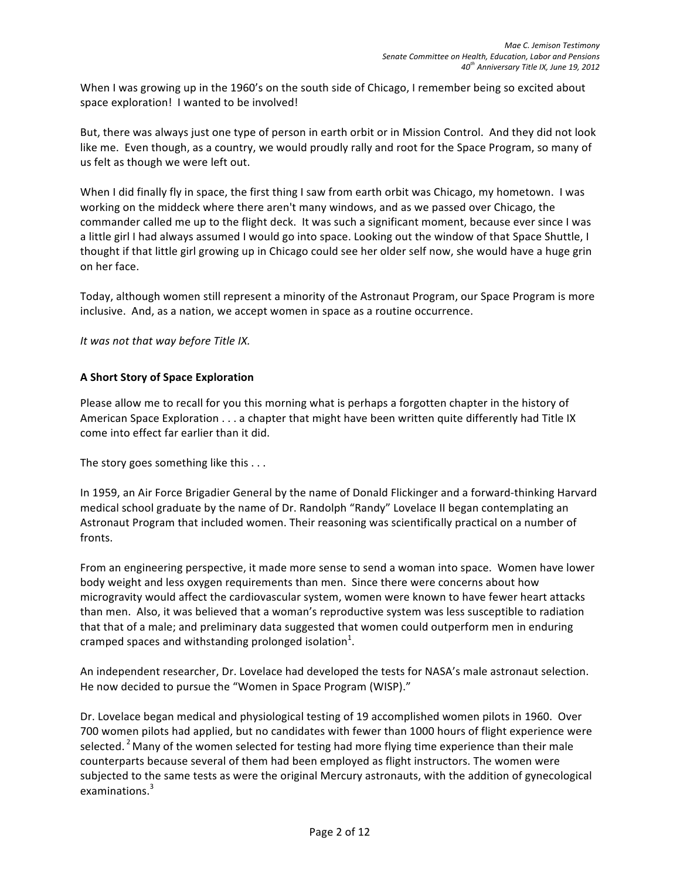When I was growing up in the 1960's on the south side of Chicago, I remember being so excited about space exploration! I wanted to be involved!

But, there was always just one type of person in earth orbit or in Mission Control. And they did not look like me. Even though, as a country, we would proudly rally and root for the Space Program, so many of us felt as though we were left out.

When I did finally fly in space, the first thing I saw from earth orbit was Chicago, my hometown. I was working on the middeck where there aren't many windows, and as we passed over Chicago, the commander called me up to the flight deck. It was such a significant moment, because ever since I was a little girl I had always assumed I would go into space. Looking out the window of that Space Shuttle, I thought if that little girl growing up in Chicago could see her older self now, she would have a huge grin on her face.

Today, although women still represent a minority of the Astronaut Program, our Space Program is more inclusive. And, as a nation, we accept women in space as a routine occurrence.

*It* was not that way before Title IX.

## **A Short Story of Space Exploration**

Please allow me to recall for you this morning what is perhaps a forgotten chapter in the history of American Space Exploration . . . a chapter that might have been written quite differently had Title IX come into effect far earlier than it did.

The story goes something like this  $\dots$ 

In 1959, an Air Force Brigadier General by the name of Donald Flickinger and a forward-thinking Harvard medical school graduate by the name of Dr. Randolph "Randy" Lovelace II began contemplating an Astronaut Program that included women. Their reasoning was scientifically practical on a number of fronts. 

From an engineering perspective, it made more sense to send a woman into space. Women have lower body weight and less oxygen requirements than men. Since there were concerns about how microgravity would affect the cardiovascular system, women were known to have fewer heart attacks than men. Also, it was believed that a woman's reproductive system was less susceptible to radiation that that of a male; and preliminary data suggested that women could outperform men in enduring cramped spaces and withstanding prolonged isolation<sup>1</sup>.

An independent researcher, Dr. Lovelace had developed the tests for NASA's male astronaut selection. He now decided to pursue the "Women in Space Program (WISP)."

Dr. Lovelace began medical and physiological testing of 19 accomplished women pilots in 1960. Over 700 women pilots had applied, but no candidates with fewer than 1000 hours of flight experience were selected. <sup>2</sup> Many of the women selected for testing had more flying time experience than their male counterparts because several of them had been employed as flight instructors. The women were subjected to the same tests as were the original Mercury astronauts, with the addition of gynecological examinations.<sup>3</sup>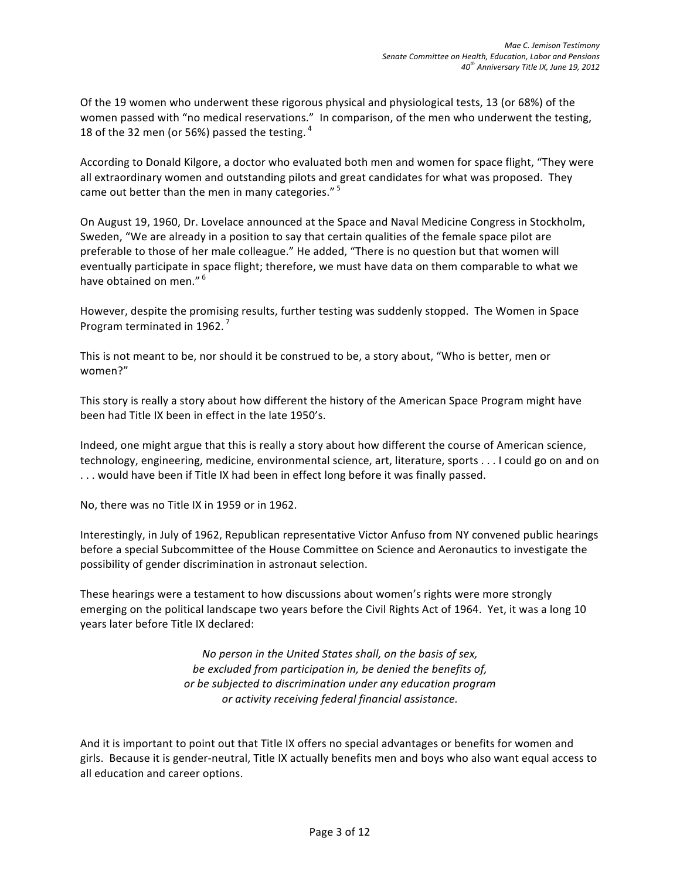Of the 19 women who underwent these rigorous physical and physiological tests, 13 (or 68%) of the women passed with "no medical reservations." In comparison, of the men who underwent the testing, 18 of the 32 men (or 56%) passed the testing.  $4$ 

According to Donald Kilgore, a doctor who evaluated both men and women for space flight, "They were all extraordinary women and outstanding pilots and great candidates for what was proposed. They came out better than the men in many categories."<sup>5</sup>

On August 19, 1960, Dr. Lovelace announced at the Space and Naval Medicine Congress in Stockholm, Sweden, "We are already in a position to say that certain qualities of the female space pilot are preferable to those of her male colleague." He added, "There is no question but that women will eventually participate in space flight; therefore, we must have data on them comparable to what we have obtained on men."<sup>6</sup>

However, despite the promising results, further testing was suddenly stopped. The Women in Space Program terminated in 1962.<sup>7</sup>

This is not meant to be, nor should it be construed to be, a story about, "Who is better, men or women?"

This story is really a story about how different the history of the American Space Program might have been had Title IX been in effect in the late 1950's.

Indeed, one might argue that this is really a story about how different the course of American science, technology, engineering, medicine, environmental science, art, literature, sports . . . I could go on and on ... would have been if Title IX had been in effect long before it was finally passed.

No, there was no Title IX in 1959 or in 1962.

Interestingly, in July of 1962, Republican representative Victor Anfuso from NY convened public hearings before a special Subcommittee of the House Committee on Science and Aeronautics to investigate the possibility of gender discrimination in astronaut selection.

These hearings were a testament to how discussions about women's rights were more strongly emerging on the political landscape two years before the Civil Rights Act of 1964. Yet, it was a long 10 years later before Title IX declared:

> *No person in the United States shall, on the basis of sex,* be excluded from participation in, be denied the benefits of, *or be subjected to discrimination under any education program or activity receiving federal financial assistance.*

And it is important to point out that Title IX offers no special advantages or benefits for women and girls. Because it is gender-neutral, Title IX actually benefits men and boys who also want equal access to all education and career options.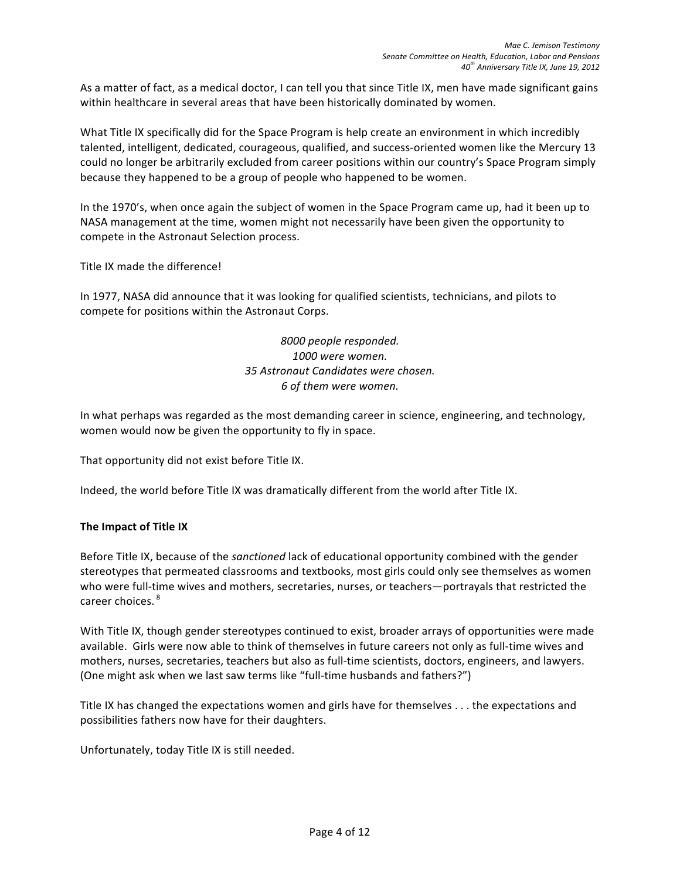As a matter of fact, as a medical doctor, I can tell you that since Title IX, men have made significant gains within healthcare in several areas that have been historically dominated by women.

What Title IX specifically did for the Space Program is help create an environment in which incredibly talented, intelligent, dedicated, courageous, qualified, and success-oriented women like the Mercury 13 could no longer be arbitrarily excluded from career positions within our country's Space Program simply because they happened to be a group of people who happened to be women.

In the 1970's, when once again the subject of women in the Space Program came up, had it been up to NASA management at the time, women might not necessarily have been given the opportunity to compete in the Astronaut Selection process.

Title IX made the difference!

In 1977, NASA did announce that it was looking for qualified scientists, technicians, and pilots to compete for positions within the Astronaut Corps.

> *8000 people responded. 1000 were women. 35 Astronaut Candidates were chosen. 6 of them were women.*

In what perhaps was regarded as the most demanding career in science, engineering, and technology, women would now be given the opportunity to fly in space.

That opportunity did not exist before Title IX.

Indeed, the world before Title IX was dramatically different from the world after Title IX.

#### **The Impact of Title IX**

Before Title IX, because of the *sanctioned* lack of educational opportunity combined with the gender stereotypes that permeated classrooms and textbooks, most girls could only see themselves as women who were full-time wives and mothers, secretaries, nurses, or teachers—portrayals that restricted the career choices.<sup>8</sup>

With Title IX, though gender stereotypes continued to exist, broader arrays of opportunities were made available. Girls were now able to think of themselves in future careers not only as full-time wives and mothers, nurses, secretaries, teachers but also as full-time scientists, doctors, engineers, and lawyers. (One might ask when we last saw terms like "full-time husbands and fathers?")

Title IX has changed the expectations women and girls have for themselves  $\dots$  the expectations and possibilities fathers now have for their daughters.

Unfortunately, today Title IX is still needed.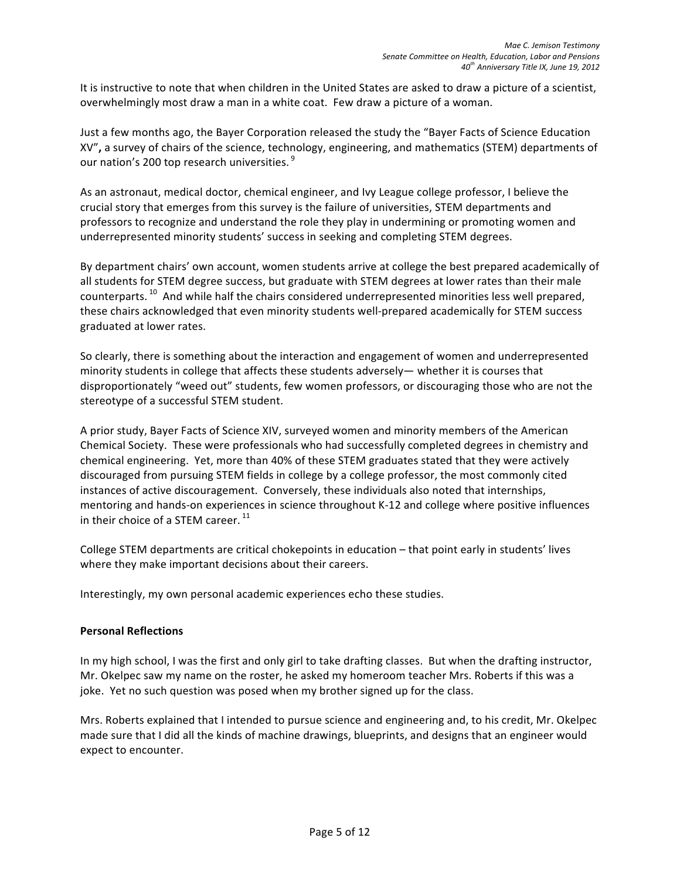It is instructive to note that when children in the United States are asked to draw a picture of a scientist, overwhelmingly most draw a man in a white coat. Few draw a picture of a woman.

Just a few months ago, the Bayer Corporation released the study the "Bayer Facts of Science Education XV", a survey of chairs of the science, technology, engineering, and mathematics (STEM) departments of our nation's 200 top research universities. <sup>9</sup>

As an astronaut, medical doctor, chemical engineer, and Ivy League college professor, I believe the crucial story that emerges from this survey is the failure of universities, STEM departments and professors to recognize and understand the role they play in undermining or promoting women and underrepresented minority students' success in seeking and completing STEM degrees.

By department chairs' own account, women students arrive at college the best prepared academically of all students for STEM degree success, but graduate with STEM degrees at lower rates than their male counterparts.<sup>10</sup> And while half the chairs considered underrepresented minorities less well prepared, these chairs acknowledged that even minority students well-prepared academically for STEM success graduated at lower rates.

So clearly, there is something about the interaction and engagement of women and underrepresented minority students in college that affects these students adversely— whether it is courses that disproportionately "weed out" students, few women professors, or discouraging those who are not the stereotype of a successful STEM student.

A prior study, Bayer Facts of Science XIV, surveyed women and minority members of the American Chemical Society. These were professionals who had successfully completed degrees in chemistry and chemical engineering. Yet, more than 40% of these STEM graduates stated that they were actively discouraged from pursuing STEM fields in college by a college professor, the most commonly cited instances of active discouragement. Conversely, these individuals also noted that internships, mentoring and hands-on experiences in science throughout K-12 and college where positive influences in their choice of a STEM career.  $11$ 

College STEM departments are critical chokepoints in education – that point early in students' lives where they make important decisions about their careers.

Interestingly, my own personal academic experiences echo these studies.

### **Personal Reflections**

In my high school, I was the first and only girl to take drafting classes. But when the drafting instructor, Mr. Okelpec saw my name on the roster, he asked my homeroom teacher Mrs. Roberts if this was a joke. Yet no such question was posed when my brother signed up for the class.

Mrs. Roberts explained that I intended to pursue science and engineering and, to his credit, Mr. Okelpec made sure that I did all the kinds of machine drawings, blueprints, and designs that an engineer would expect to encounter.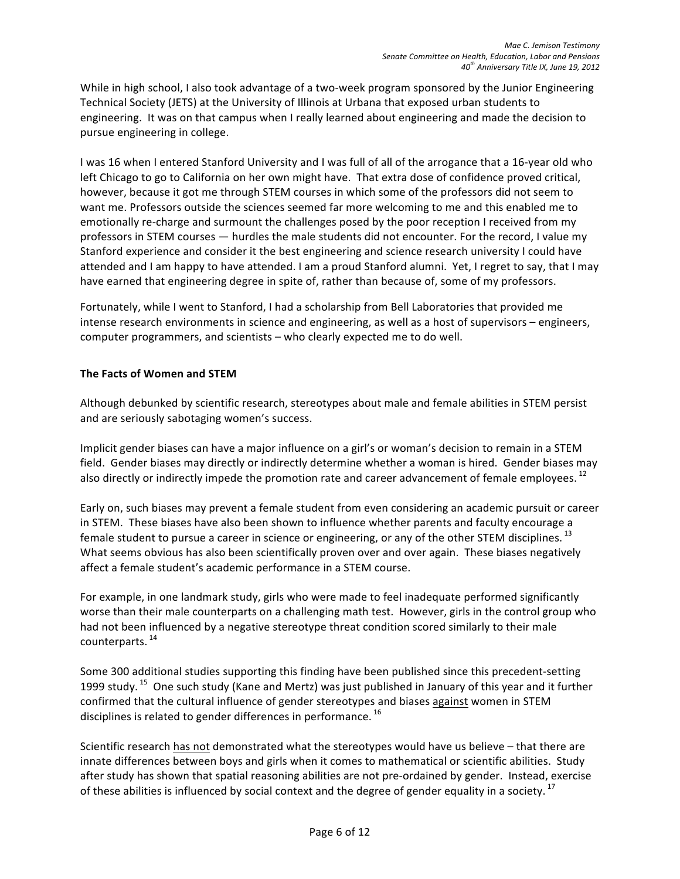While in high school, I also took advantage of a two-week program sponsored by the Junior Engineering Technical Society (JETS) at the University of Illinois at Urbana that exposed urban students to engineering. It was on that campus when I really learned about engineering and made the decision to pursue engineering in college.

I was 16 when I entered Stanford University and I was full of all of the arrogance that a 16-year old who left Chicago to go to California on her own might have. That extra dose of confidence proved critical, however, because it got me through STEM courses in which some of the professors did not seem to want me. Professors outside the sciences seemed far more welcoming to me and this enabled me to emotionally re-charge and surmount the challenges posed by the poor reception I received from my professors in STEM courses — hurdles the male students did not encounter. For the record, I value my Stanford experience and consider it the best engineering and science research university I could have attended and I am happy to have attended. I am a proud Stanford alumni. Yet, I regret to say, that I may have earned that engineering degree in spite of, rather than because of, some of my professors.

Fortunately, while I went to Stanford, I had a scholarship from Bell Laboratories that provided me intense research environments in science and engineering, as well as a host of supervisors – engineers, computer programmers, and scientists – who clearly expected me to do well.

### **The Facts of Women and STEM**

Although debunked by scientific research, stereotypes about male and female abilities in STEM persist and are seriously sabotaging women's success.

Implicit gender biases can have a major influence on a girl's or woman's decision to remain in a STEM field. Gender biases may directly or indirectly determine whether a woman is hired. Gender biases may also directly or indirectly impede the promotion rate and career advancement of female employees.  $^{12}$ 

Early on, such biases may prevent a female student from even considering an academic pursuit or career in STEM. These biases have also been shown to influence whether parents and faculty encourage a female student to pursue a career in science or engineering, or any of the other STEM disciplines.  $^{13}$ What seems obvious has also been scientifically proven over and over again. These biases negatively affect a female student's academic performance in a STEM course.

For example, in one landmark study, girls who were made to feel inadequate performed significantly worse than their male counterparts on a challenging math test. However, girls in the control group who had not been influenced by a negative stereotype threat condition scored similarly to their male counterparts. 14 

Some 300 additional studies supporting this finding have been published since this precedent-setting 1999 study. <sup>15</sup> One such study (Kane and Mertz) was just published in January of this year and it further confirmed that the cultural influence of gender stereotypes and biases against women in STEM disciplines is related to gender differences in performance.  $^{16}$ 

Scientific research has not demonstrated what the stereotypes would have us believe – that there are innate differences between boys and girls when it comes to mathematical or scientific abilities. Study after study has shown that spatial reasoning abilities are not pre-ordained by gender. Instead, exercise of these abilities is influenced by social context and the degree of gender equality in a society. <sup>17</sup>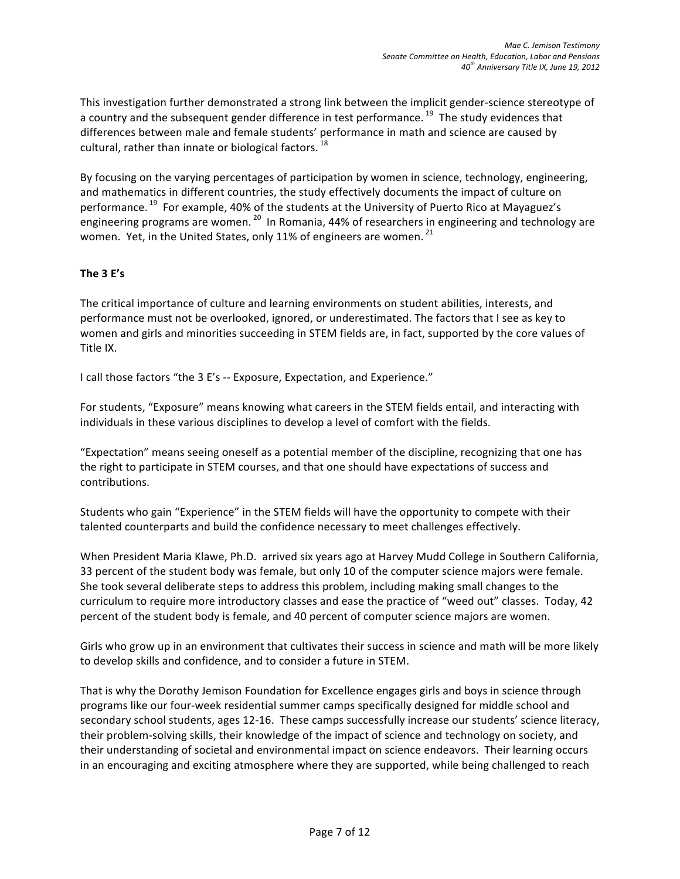This investigation further demonstrated a strong link between the implicit gender-science stereotype of a country and the subsequent gender difference in test performance.<sup>19</sup> The study evidences that differences between male and female students' performance in math and science are caused by cultural, rather than innate or biological factors.<sup>18</sup>

By focusing on the varying percentages of participation by women in science, technology, engineering, and mathematics in different countries, the study effectively documents the impact of culture on performance. <sup>19</sup> For example, 40% of the students at the University of Puerto Rico at Mayaguez's engineering programs are women.  $^{20}$  In Romania, 44% of researchers in engineering and technology are women. Yet, in the United States, only 11% of engineers are women.  $^{21}$ 

### **The 3 E's**

The critical importance of culture and learning environments on student abilities, interests, and performance must not be overlooked, ignored, or underestimated. The factors that I see as key to women and girls and minorities succeeding in STEM fields are, in fact, supported by the core values of Title IX.

I call those factors "the 3 E's -- Exposure, Expectation, and Experience."

For students, "Exposure" means knowing what careers in the STEM fields entail, and interacting with individuals in these various disciplines to develop a level of comfort with the fields.

"Expectation" means seeing oneself as a potential member of the discipline, recognizing that one has the right to participate in STEM courses, and that one should have expectations of success and contributions.

Students who gain "Experience" in the STEM fields will have the opportunity to compete with their talented counterparts and build the confidence necessary to meet challenges effectively.

When President Maria Klawe, Ph.D. arrived six years ago at Harvey Mudd College in Southern California, 33 percent of the student body was female, but only 10 of the computer science majors were female. She took several deliberate steps to address this problem, including making small changes to the curriculum to require more introductory classes and ease the practice of "weed out" classes. Today, 42 percent of the student body is female, and 40 percent of computer science majors are women.

Girls who grow up in an environment that cultivates their success in science and math will be more likely to develop skills and confidence, and to consider a future in STEM.

That is why the Dorothy Jemison Foundation for Excellence engages girls and boys in science through programs like our four-week residential summer camps specifically designed for middle school and secondary school students, ages 12-16. These camps successfully increase our students' science literacy, their problem-solving skills, their knowledge of the impact of science and technology on society, and their understanding of societal and environmental impact on science endeavors. Their learning occurs in an encouraging and exciting atmosphere where they are supported, while being challenged to reach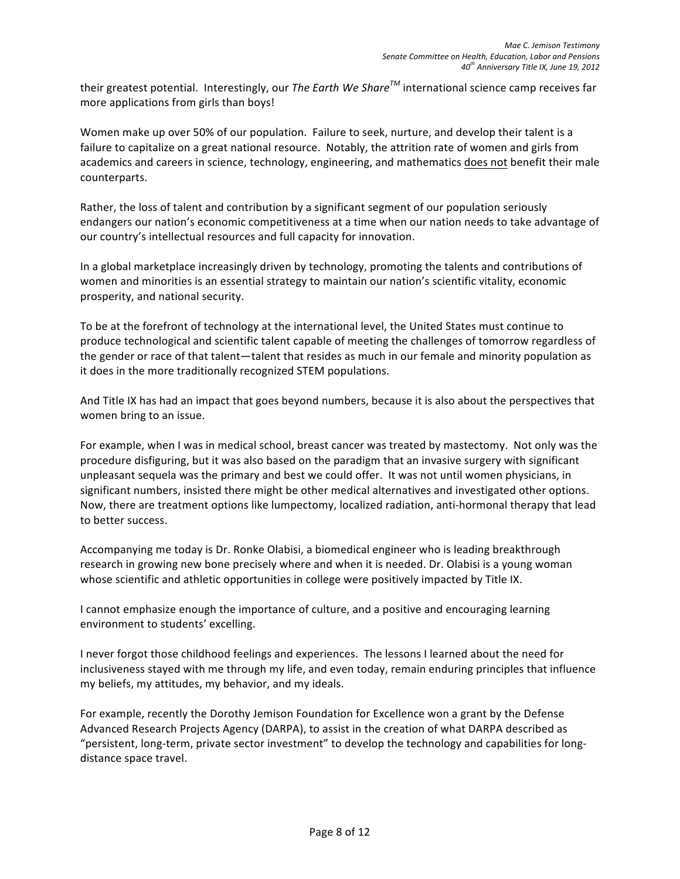their greatest potential. Interestingly, our *The Earth We Share*<sup>™</sup> international science camp receives far more applications from girls than boys!

Women make up over 50% of our population. Failure to seek, nurture, and develop their talent is a failure to capitalize on a great national resource. Notably, the attrition rate of women and girls from academics and careers in science, technology, engineering, and mathematics does not benefit their male counterparts.

Rather, the loss of talent and contribution by a significant segment of our population seriously endangers our nation's economic competitiveness at a time when our nation needs to take advantage of our country's intellectual resources and full capacity for innovation.

In a global marketplace increasingly driven by technology, promoting the talents and contributions of women and minorities is an essential strategy to maintain our nation's scientific vitality, economic prosperity, and national security.

To be at the forefront of technology at the international level, the United States must continue to produce technological and scientific talent capable of meeting the challenges of tomorrow regardless of the gender or race of that talent—talent that resides as much in our female and minority population as it does in the more traditionally recognized STEM populations.

And Title IX has had an impact that goes beyond numbers, because it is also about the perspectives that women bring to an issue.

For example, when I was in medical school, breast cancer was treated by mastectomy. Not only was the procedure disfiguring, but it was also based on the paradigm that an invasive surgery with significant unpleasant sequela was the primary and best we could offer. It was not until women physicians, in significant numbers, insisted there might be other medical alternatives and investigated other options. Now, there are treatment options like lumpectomy, localized radiation, anti-hormonal therapy that lead to better success.

Accompanying me today is Dr. Ronke Olabisi, a biomedical engineer who is leading breakthrough research in growing new bone precisely where and when it is needed. Dr. Olabisi is a young woman whose scientific and athletic opportunities in college were positively impacted by Title IX.

I cannot emphasize enough the importance of culture, and a positive and encouraging learning environment to students' excelling.

I never forgot those childhood feelings and experiences. The lessons I learned about the need for inclusiveness stayed with me through my life, and even today, remain enduring principles that influence my beliefs, my attitudes, my behavior, and my ideals.

For example, recently the Dorothy Jemison Foundation for Excellence won a grant by the Defense Advanced Research Projects Agency (DARPA), to assist in the creation of what DARPA described as "persistent, long-term, private sector investment" to develop the technology and capabilities for longdistance space travel.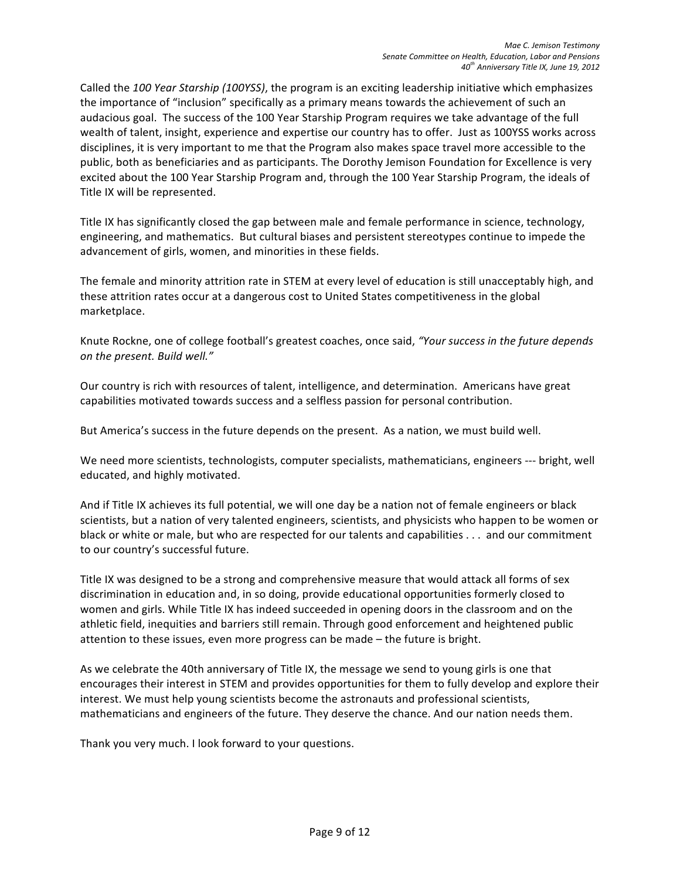Called the 100 Year Starship (100YSS), the program is an exciting leadership initiative which emphasizes the importance of "inclusion" specifically as a primary means towards the achievement of such an audacious goal. The success of the 100 Year Starship Program requires we take advantage of the full wealth of talent, insight, experience and expertise our country has to offer. Just as 100YSS works across disciplines, it is very important to me that the Program also makes space travel more accessible to the public, both as beneficiaries and as participants. The Dorothy Jemison Foundation for Excellence is very excited about the 100 Year Starship Program and, through the 100 Year Starship Program, the ideals of Title IX will be represented.

Title IX has significantly closed the gap between male and female performance in science, technology, engineering, and mathematics. But cultural biases and persistent stereotypes continue to impede the advancement of girls, women, and minorities in these fields.

The female and minority attrition rate in STEM at every level of education is still unacceptably high, and these attrition rates occur at a dangerous cost to United States competitiveness in the global marketplace.

Knute Rockne, one of college football's greatest coaches, once said, "Your success in the future depends on the present. Build well."

Our country is rich with resources of talent, intelligence, and determination. Americans have great capabilities motivated towards success and a selfless passion for personal contribution.

But America's success in the future depends on the present. As a nation, we must build well.

We need more scientists, technologists, computer specialists, mathematicians, engineers --- bright, well educated, and highly motivated.

And if Title IX achieves its full potential, we will one day be a nation not of female engineers or black scientists, but a nation of very talented engineers, scientists, and physicists who happen to be women or black or white or male, but who are respected for our talents and capabilities . . . and our commitment to our country's successful future.

Title IX was designed to be a strong and comprehensive measure that would attack all forms of sex discrimination in education and, in so doing, provide educational opportunities formerly closed to women and girls. While Title IX has indeed succeeded in opening doors in the classroom and on the athletic field, inequities and barriers still remain. Through good enforcement and heightened public attention to these issues, even more progress can be made – the future is bright.

As we celebrate the 40th anniversary of Title IX, the message we send to young girls is one that encourages their interest in STEM and provides opportunities for them to fully develop and explore their interest. We must help young scientists become the astronauts and professional scientists, mathematicians and engineers of the future. They deserve the chance. And our nation needs them.

Thank you very much. I look forward to your questions.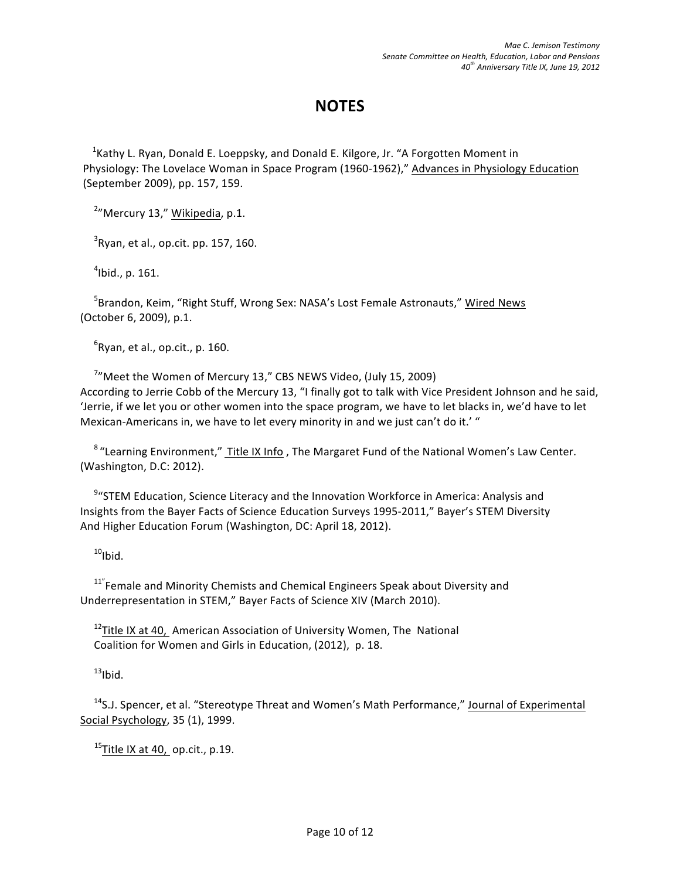## **NOTES**

<sup>1</sup> Kathy L. Ryan, Donald E. Loeppsky, and Donald E. Kilgore, Jr. "A Forgotten Moment in Physiology: The Lovelace Woman in Space Program (1960-1962)," Advances in Physiology Education (September 2009), pp. 157, 159.

<sup>2</sup>"Mercury 13," Wikipedia, p.1.

 $3$ Ryan, et al., op.cit. pp. 157, 160.

 $4$ lbid., p. 161.

<sup>5</sup>Brandon, Keim, "Right Stuff, Wrong Sex: NASA's Lost Female Astronauts," <u>Wired News</u> (October 6, 2009), p.1.

 ${}^{6}$ Ryan, et al., op.cit., p. 160.

 $7$ <sup>"</sup>Meet the Women of Mercury 13," CBS NEWS Video, (July 15, 2009) According to Jerrie Cobb of the Mercury 13, "I finally got to talk with Vice President Johnson and he said, 'Jerrie, if we let you or other women into the space program, we have to let blacks in, we'd have to let Mexican-Americans in, we have to let every minority in and we just can't do it.' "

<sup>8</sup> "Learning Environment," Title IX Info, The Margaret Fund of the National Women's Law Center. (Washington, D.C: 2012).

<sup>9</sup> "STEM Education, Science Literacy and the Innovation Workforce in America: Analysis and Insights from the Bayer Facts of Science Education Surveys 1995-2011," Bayer's STEM Diversity And Higher Education Forum (Washington, DC: April 18, 2012).

 $10$ Ibid.

 $11^{\circ}$  Female and Minority Chemists and Chemical Engineers Speak about Diversity and Underrepresentation in STEM," Bayer Facts of Science XIV (March 2010).

 $12$ Title IX at 40, American Association of University Women, The National Coalition for Women and Girls in Education, (2012), p. 18.

 $13$ Ibid.

 $14$ S.J. Spencer, et al. "Stereotype Threat and Women's Math Performance," Journal of Experimental Social Psychology, 35 (1), 1999.

 $15$ Title IX at 40, op.cit., p.19.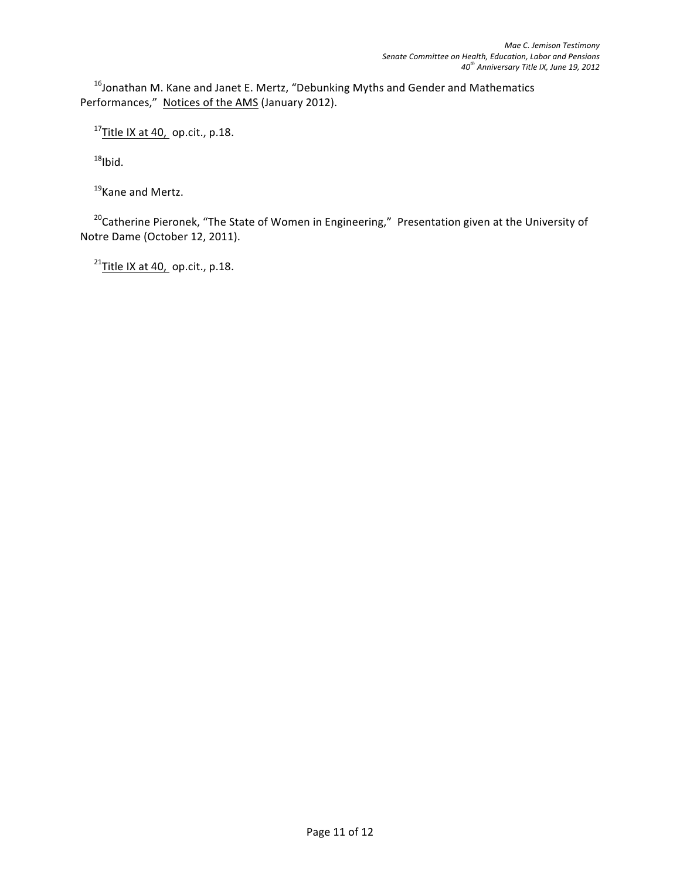$^{16}$ Jonathan M. Kane and Janet E. Mertz, "Debunking Myths and Gender and Mathematics Performances," Notices of the AMS (January 2012).

 $17$ Title IX at 40, op.cit., p.18.

 $18$ Ibid.

<sup>19</sup>Kane and Mertz.

 $20$ Catherine Pieronek, "The State of Women in Engineering," Presentation given at the University of Notre Dame (October 12, 2011).

 $^{21}$ Title IX at 40, op.cit., p.18.